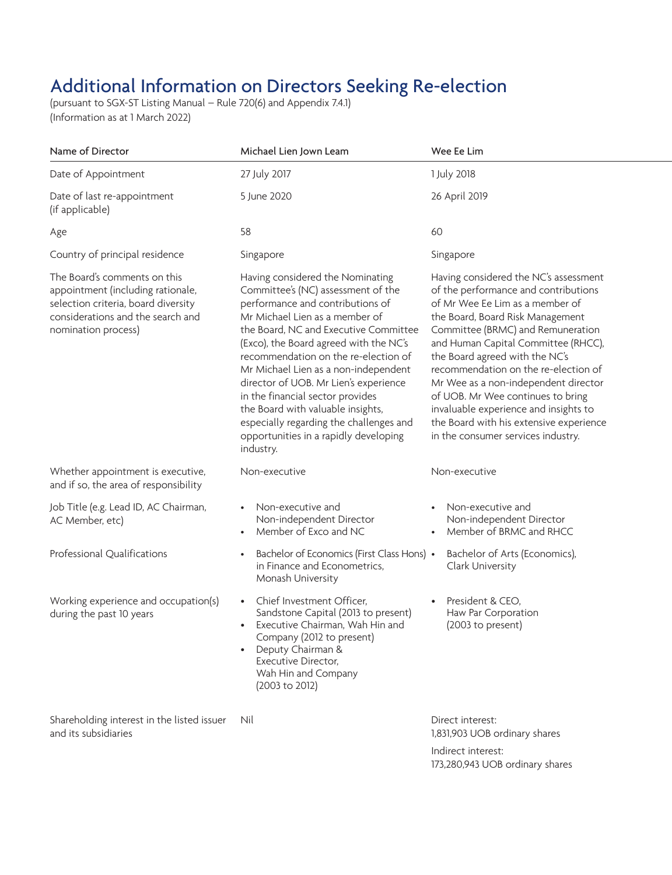## Additional Information on Directors Seeking Re-election

(pursuant to SGX-ST Listing Manual – Rule 720(6) and Appendix 7.4.1) (Information as at 1 March 2022)

| Name of Director                                                                                                                                                     | Michael Lien Jown Leam                                                                                                                                                                                                                                                                                                                                                                                                                                                                                                             | Wee Ee Lim                                                                                                                                                                                                                                                                                                                                                                                                                                                                                                        |
|----------------------------------------------------------------------------------------------------------------------------------------------------------------------|------------------------------------------------------------------------------------------------------------------------------------------------------------------------------------------------------------------------------------------------------------------------------------------------------------------------------------------------------------------------------------------------------------------------------------------------------------------------------------------------------------------------------------|-------------------------------------------------------------------------------------------------------------------------------------------------------------------------------------------------------------------------------------------------------------------------------------------------------------------------------------------------------------------------------------------------------------------------------------------------------------------------------------------------------------------|
| Date of Appointment                                                                                                                                                  | 27 July 2017                                                                                                                                                                                                                                                                                                                                                                                                                                                                                                                       | 1 July 2018                                                                                                                                                                                                                                                                                                                                                                                                                                                                                                       |
| Date of last re-appointment<br>(if applicable)                                                                                                                       | 5 June 2020                                                                                                                                                                                                                                                                                                                                                                                                                                                                                                                        | 26 April 2019                                                                                                                                                                                                                                                                                                                                                                                                                                                                                                     |
| Age                                                                                                                                                                  | 58                                                                                                                                                                                                                                                                                                                                                                                                                                                                                                                                 | 60                                                                                                                                                                                                                                                                                                                                                                                                                                                                                                                |
| Country of principal residence                                                                                                                                       | Singapore                                                                                                                                                                                                                                                                                                                                                                                                                                                                                                                          | Singapore                                                                                                                                                                                                                                                                                                                                                                                                                                                                                                         |
| The Board's comments on this<br>appointment (including rationale,<br>selection criteria, board diversity<br>considerations and the search and<br>nomination process) | Having considered the Nominating<br>Committee's (NC) assessment of the<br>performance and contributions of<br>Mr Michael Lien as a member of<br>the Board, NC and Executive Committee<br>(Exco), the Board agreed with the NC's<br>recommendation on the re-election of<br>Mr Michael Lien as a non-independent<br>director of UOB. Mr Lien's experience<br>in the financial sector provides<br>the Board with valuable insights,<br>especially regarding the challenges and<br>opportunities in a rapidly developing<br>industry. | Having considered the NC's assessment<br>of the performance and contributions<br>of Mr Wee Ee Lim as a member of<br>the Board, Board Risk Management<br>Committee (BRMC) and Remuneration<br>and Human Capital Committee (RHCC),<br>the Board agreed with the NC's<br>recommendation on the re-election of<br>Mr Wee as a non-independent director<br>of UOB. Mr Wee continues to bring<br>invaluable experience and insights to<br>the Board with his extensive experience<br>in the consumer services industry. |
| Whether appointment is executive,<br>and if so, the area of responsibility                                                                                           | Non-executive                                                                                                                                                                                                                                                                                                                                                                                                                                                                                                                      | Non-executive                                                                                                                                                                                                                                                                                                                                                                                                                                                                                                     |
| Job Title (e.g. Lead ID, AC Chairman,<br>AC Member, etc)                                                                                                             | • Non-executive and<br>Non-independent Director<br>• Member of Exco and NC                                                                                                                                                                                                                                                                                                                                                                                                                                                         | • Non-executive and<br>Non-independent Director<br>• Member of BRMC and RHCC                                                                                                                                                                                                                                                                                                                                                                                                                                      |
| Professional Qualifications                                                                                                                                          | • Bachelor of Economics (First Class Hons) •<br>in Finance and Econometrics,<br>Monash University                                                                                                                                                                                                                                                                                                                                                                                                                                  | Bachelor of Arts (Economics),<br>Clark University                                                                                                                                                                                                                                                                                                                                                                                                                                                                 |
| Working experience and occupation(s)<br>during the past 10 years                                                                                                     | • Chief Investment Officer,<br>Sandstone Capital (2013 to present)<br>• Executive Chairman, Wah Hin and<br>Company (2012 to present)<br>• Deputy Chairman &<br>Executive Director,<br>Wah Hin and Company<br>(2003 to 2012)                                                                                                                                                                                                                                                                                                        | President & CEO,<br>Haw Par Corporation<br>(2003 to present)                                                                                                                                                                                                                                                                                                                                                                                                                                                      |
| Shareholding interest in the listed issuer Nil<br>and its subsidiaries                                                                                               |                                                                                                                                                                                                                                                                                                                                                                                                                                                                                                                                    | Direct interest:<br>1,831,903 UOB ordinary shares                                                                                                                                                                                                                                                                                                                                                                                                                                                                 |

Indirect interest: 173,280,943 UOB ordinary shares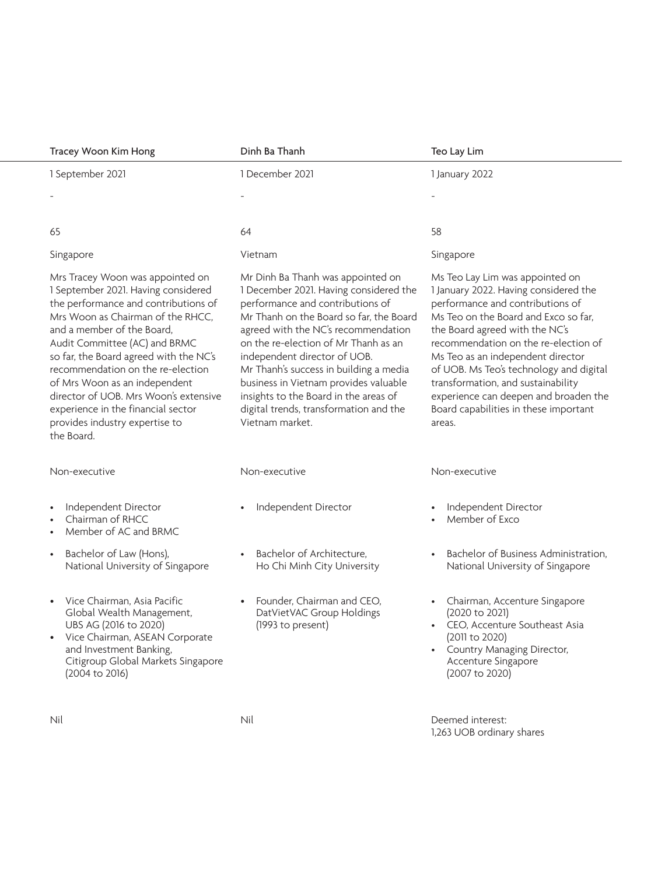| Tracey Woon Kim Hong                                                                                                                                                                                                                                                                                                                                                                                                                                               | Dinh Ba Thanh                                                                                                                                                                                                                                                                                                                                                                                                                                                      | Teo Lay Lim                                                                                                                                                                                                                                                                                                                                                                                                                                      |
|--------------------------------------------------------------------------------------------------------------------------------------------------------------------------------------------------------------------------------------------------------------------------------------------------------------------------------------------------------------------------------------------------------------------------------------------------------------------|--------------------------------------------------------------------------------------------------------------------------------------------------------------------------------------------------------------------------------------------------------------------------------------------------------------------------------------------------------------------------------------------------------------------------------------------------------------------|--------------------------------------------------------------------------------------------------------------------------------------------------------------------------------------------------------------------------------------------------------------------------------------------------------------------------------------------------------------------------------------------------------------------------------------------------|
| 1 September 2021                                                                                                                                                                                                                                                                                                                                                                                                                                                   | 1 December 2021                                                                                                                                                                                                                                                                                                                                                                                                                                                    | 1 January 2022                                                                                                                                                                                                                                                                                                                                                                                                                                   |
|                                                                                                                                                                                                                                                                                                                                                                                                                                                                    |                                                                                                                                                                                                                                                                                                                                                                                                                                                                    |                                                                                                                                                                                                                                                                                                                                                                                                                                                  |
|                                                                                                                                                                                                                                                                                                                                                                                                                                                                    |                                                                                                                                                                                                                                                                                                                                                                                                                                                                    |                                                                                                                                                                                                                                                                                                                                                                                                                                                  |
| 65                                                                                                                                                                                                                                                                                                                                                                                                                                                                 | 64                                                                                                                                                                                                                                                                                                                                                                                                                                                                 | 58                                                                                                                                                                                                                                                                                                                                                                                                                                               |
| Singapore                                                                                                                                                                                                                                                                                                                                                                                                                                                          | Vietnam                                                                                                                                                                                                                                                                                                                                                                                                                                                            | Singapore                                                                                                                                                                                                                                                                                                                                                                                                                                        |
| Mrs Tracey Woon was appointed on<br>1 September 2021. Having considered<br>the performance and contributions of<br>Mrs Woon as Chairman of the RHCC,<br>and a member of the Board,<br>Audit Committee (AC) and BRMC<br>so far, the Board agreed with the NC's<br>recommendation on the re-election<br>of Mrs Woon as an independent<br>director of UOB. Mrs Woon's extensive<br>experience in the financial sector<br>provides industry expertise to<br>the Board. | Mr Dinh Ba Thanh was appointed on<br>1 December 2021. Having considered the<br>performance and contributions of<br>Mr Thanh on the Board so far, the Board<br>agreed with the NC's recommendation<br>on the re-election of Mr Thanh as an<br>independent director of UOB.<br>Mr Thanh's success in building a media<br>business in Vietnam provides valuable<br>insights to the Board in the areas of<br>digital trends, transformation and the<br>Vietnam market. | Ms Teo Lay Lim was appointed on<br>1 January 2022. Having considered the<br>performance and contributions of<br>Ms Teo on the Board and Exco so far,<br>the Board agreed with the NC's<br>recommendation on the re-election of<br>Ms Teo as an independent director<br>of UOB. Ms Teo's technology and digital<br>transformation, and sustainability<br>experience can deepen and broaden the<br>Board capabilities in these important<br>areas. |
| Non-executive                                                                                                                                                                                                                                                                                                                                                                                                                                                      | Non-executive                                                                                                                                                                                                                                                                                                                                                                                                                                                      | Non-executive                                                                                                                                                                                                                                                                                                                                                                                                                                    |
| • Independent Director<br>Chairman of RHCC<br>$\bullet$<br>• Member of AC and BRMC                                                                                                                                                                                                                                                                                                                                                                                 | • Independent Director                                                                                                                                                                                                                                                                                                                                                                                                                                             | Independent Director<br>• Member of Exco                                                                                                                                                                                                                                                                                                                                                                                                         |
| • Bachelor of Law (Hons),<br>National University of Singapore                                                                                                                                                                                                                                                                                                                                                                                                      | • Bachelor of Architecture.<br>Ho Chi Minh City University                                                                                                                                                                                                                                                                                                                                                                                                         | Bachelor of Business Administration,<br>National University of Singapore                                                                                                                                                                                                                                                                                                                                                                         |
| • Vice Chairman, Asia Pacific<br>Global Wealth Management,<br>UBS AG (2016 to 2020)<br>• Vice Chairman, ASEAN Corporate<br>and Investment Banking,<br>Citigroup Global Markets Singapore<br>(2004 to 2016)                                                                                                                                                                                                                                                         | • Founder, Chairman and CEO,<br>DatVietVAC Group Holdings<br>(1993 to present)                                                                                                                                                                                                                                                                                                                                                                                     | Chairman, Accenture Singapore<br>(2020 to 2021)<br>• CEO, Accenture Southeast Asia<br>(2011 to 2020)<br>• Country Managing Director,<br>Accenture Singapore<br>(2007 to 2020)                                                                                                                                                                                                                                                                    |
| Nil                                                                                                                                                                                                                                                                                                                                                                                                                                                                | Nil                                                                                                                                                                                                                                                                                                                                                                                                                                                                | Deemed interest:                                                                                                                                                                                                                                                                                                                                                                                                                                 |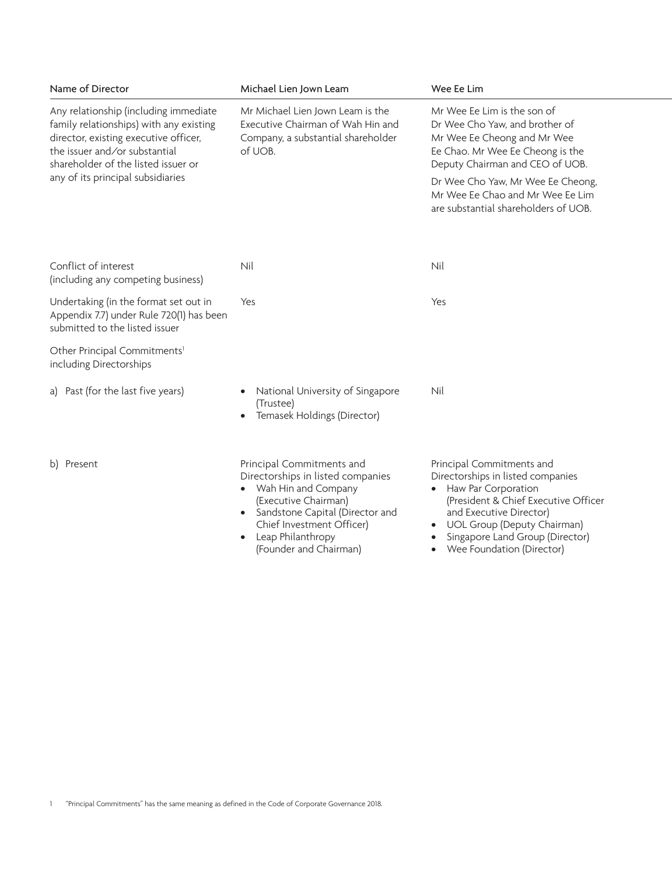| Name of Director                                                                                                                                                                                  | Michael Lien Jown Leam                                                                                                                                                                                                             | Wee Ee Lim                                                                                                                                                                                                                                                      |
|---------------------------------------------------------------------------------------------------------------------------------------------------------------------------------------------------|------------------------------------------------------------------------------------------------------------------------------------------------------------------------------------------------------------------------------------|-----------------------------------------------------------------------------------------------------------------------------------------------------------------------------------------------------------------------------------------------------------------|
| Any relationship (including immediate<br>family relationships) with any existing<br>director, existing executive officer,<br>the issuer and/or substantial<br>shareholder of the listed issuer or | Mr Michael Lien Jown Leam is the<br>Executive Chairman of Wah Hin and<br>Company, a substantial shareholder<br>of UOB.                                                                                                             | Mr Wee Ee Lim is the son of<br>Dr Wee Cho Yaw, and brother of<br>Mr Wee Ee Cheong and Mr Wee<br>Ee Chao. Mr Wee Ee Cheong is the<br>Deputy Chairman and CEO of UOB.                                                                                             |
| any of its principal subsidiaries                                                                                                                                                                 |                                                                                                                                                                                                                                    | Dr Wee Cho Yaw, Mr Wee Ee Cheong,<br>Mr Wee Ee Chao and Mr Wee Ee Lim<br>are substantial shareholders of UOB.                                                                                                                                                   |
| Conflict of interest<br>(including any competing business)                                                                                                                                        | Nil                                                                                                                                                                                                                                | Nil                                                                                                                                                                                                                                                             |
| Undertaking (in the format set out in<br>Appendix 7.7) under Rule 720(1) has been<br>submitted to the listed issuer                                                                               | Yes                                                                                                                                                                                                                                | Yes                                                                                                                                                                                                                                                             |
| Other Principal Commitments <sup>1</sup><br>including Directorships                                                                                                                               |                                                                                                                                                                                                                                    |                                                                                                                                                                                                                                                                 |
| a) Past (for the last five years)                                                                                                                                                                 | • National University of Singapore<br>(Trustee)<br>• Temasek Holdings (Director)                                                                                                                                                   | Nil                                                                                                                                                                                                                                                             |
| b) Present                                                                                                                                                                                        | Principal Commitments and<br>Directorships in listed companies<br>• Wah Hin and Company<br>(Executive Chairman)<br>• Sandstone Capital (Director and<br>Chief Investment Officer)<br>• Leap Philanthropy<br>(Founder and Chairman) | Principal Commitments and<br>Directorships in listed companies<br>• Haw Par Corporation<br>(President & Chief Executive Officer<br>and Executive Director)<br>• UOL Group (Deputy Chairman)<br>• Singapore Land Group (Director)<br>• Wee Foundation (Director) |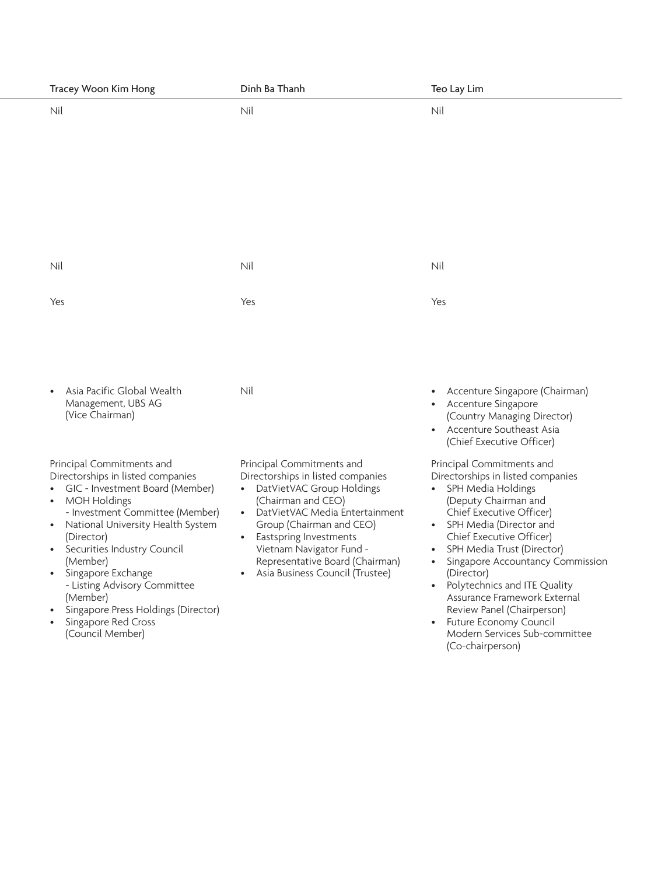| Tracey Woon Kim Hong                                                                                                                                                                                                                                                                                                                                                                                                 | Dinh Ba Thanh                                                                                                                                                                                                                                                                                                       | Teo Lay Lim                                                                                                                                                                                                                                                                                                                                                                                                                                                              |
|----------------------------------------------------------------------------------------------------------------------------------------------------------------------------------------------------------------------------------------------------------------------------------------------------------------------------------------------------------------------------------------------------------------------|---------------------------------------------------------------------------------------------------------------------------------------------------------------------------------------------------------------------------------------------------------------------------------------------------------------------|--------------------------------------------------------------------------------------------------------------------------------------------------------------------------------------------------------------------------------------------------------------------------------------------------------------------------------------------------------------------------------------------------------------------------------------------------------------------------|
| Nil                                                                                                                                                                                                                                                                                                                                                                                                                  | Nil                                                                                                                                                                                                                                                                                                                 | Nil                                                                                                                                                                                                                                                                                                                                                                                                                                                                      |
| Nil                                                                                                                                                                                                                                                                                                                                                                                                                  | Nil                                                                                                                                                                                                                                                                                                                 | Nil                                                                                                                                                                                                                                                                                                                                                                                                                                                                      |
| Yes                                                                                                                                                                                                                                                                                                                                                                                                                  | Yes                                                                                                                                                                                                                                                                                                                 | Yes                                                                                                                                                                                                                                                                                                                                                                                                                                                                      |
| • Asia Pacific Global Wealth<br>Management, UBS AG<br>(Vice Chairman)                                                                                                                                                                                                                                                                                                                                                | Nil                                                                                                                                                                                                                                                                                                                 | • Accenture Singapore (Chairman)<br>• Accenture Singapore<br>(Country Managing Director)<br>• Accenture Southeast Asia<br>(Chief Executive Officer)                                                                                                                                                                                                                                                                                                                      |
| Principal Commitments and<br>Directorships in listed companies<br>• GIC - Investment Board (Member)<br>• MOH Holdings<br>- Investment Committee (Member)<br>• National University Health System<br>(Director)<br>• Securities Industry Council<br>(Member)<br>• Singapore Exchange<br>- Listing Advisory Committee<br>(Member)<br>• Singapore Press Holdings (Director)<br>• Singapore Red Cross<br>(Council Member) | Principal Commitments and<br>Directorships in listed companies<br>• DatVietVAC Group Holdings<br>(Chairman and CEO)<br>• DatVietVAC Media Entertainment<br>Group (Chairman and CEO)<br>• Eastspring Investments<br>Vietnam Navigator Fund -<br>Representative Board (Chairman)<br>• Asia Business Council (Trustee) | Principal Commitments and<br>Directorships in listed companies<br>• SPH Media Holdings<br>(Deputy Chairman and<br>Chief Executive Officer)<br>• SPH Media (Director and<br>Chief Executive Officer)<br>• SPH Media Trust (Director)<br>• Singapore Accountancy Commission<br>(Director)<br>• Polytechnics and ITE Quality<br>Assurance Framework External<br>Review Panel (Chairperson)<br>• Future Economy Council<br>Modern Services Sub-committee<br>(Co-chairperson) |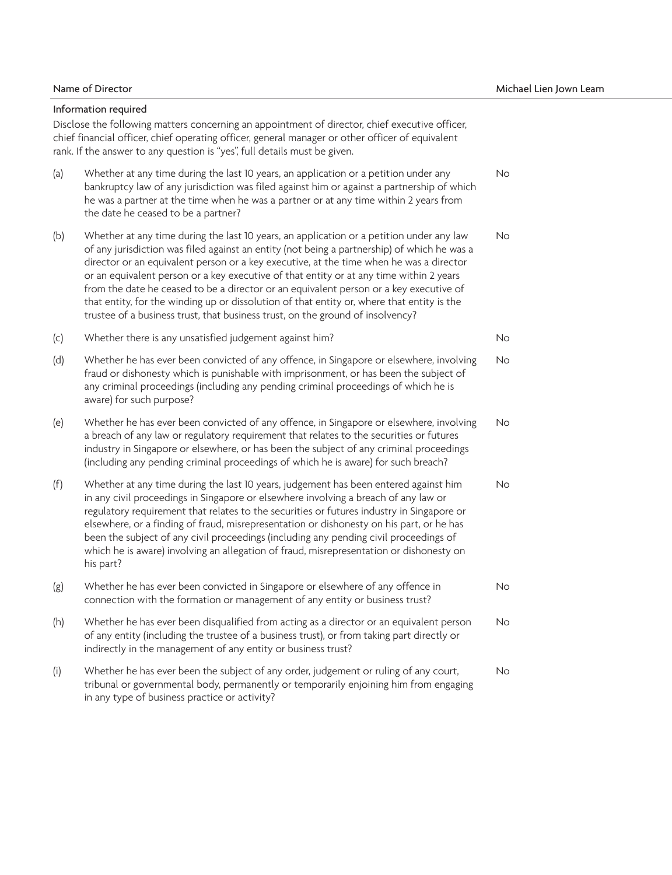Information required

Disclose the following matters concerning an appointment of director, chief executive officer, chief financial officer, chief operating officer, general manager or other officer of equivalent rank. If the answer to any question is "yes", full details must be given.

- (a) Whether at any time during the last 10 years, an application or a petition under any bankruptcy law of any jurisdiction was filed against him or against a partnership of which he was a partner at the time when he was a partner or at any time within 2 years from the date he ceased to be a partner? No No No No No
- (b) Whether at any time during the last 10 years, an application or a petition under any law of any jurisdiction was filed against an entity (not being a partnership) of which he was a director or an equivalent person or a key executive, at the time when he was a director or an equivalent person or a key executive of that entity or at any time within 2 years from the date he ceased to be a director or an equivalent person or a key executive of that entity, for the winding up or dissolution of that entity or, where that entity is the trustee of a business trust, that business trust, on the ground of insolvency? No No No No No
- (c) Whether there is any unsatisfied judgement against him? No No No No No
- (d) Whether he has ever been convicted of any offence, in Singapore or elsewhere, involving fraud or dishonesty which is punishable with imprisonment, or has been the subject of any criminal proceedings (including any pending criminal proceedings of which he is aware) for such purpose? No No No No No
- (e) Whether he has ever been convicted of any offence, in Singapore or elsewhere, involving a breach of any law or regulatory requirement that relates to the securities or futures industry in Singapore or elsewhere, or has been the subject of any criminal proceedings (including any pending criminal proceedings of which he is aware) for such breach? No No No No No
- (f) Whether at any time during the last 10 years, judgement has been entered against him in any civil proceedings in Singapore or elsewhere involving a breach of any law or regulatory requirement that relates to the securities or futures industry in Singapore or elsewhere, or a finding of fraud, misrepresentation or dishonesty on his part, or he has been the subject of any civil proceedings (including any pending civil proceedings of which he is aware) involving an allegation of fraud, misrepresentation or dishonesty on his part? No No No No No
- (g) Whether he has ever been convicted in Singapore or elsewhere of any offence in connection with the formation or management of any entity or business trust? No No No No No
- (h) Whether he has ever been disqualified from acting as a director or an equivalent person of any entity (including the trustee of a business trust), or from taking part directly or indirectly in the management of any entity or business trust? No No No No No
- (i) Whether he has ever been the subject of any order, judgement or ruling of any court, tribunal or governmental body, permanently or temporarily enjoining him from engaging in any type of business practice or activity? No No No No No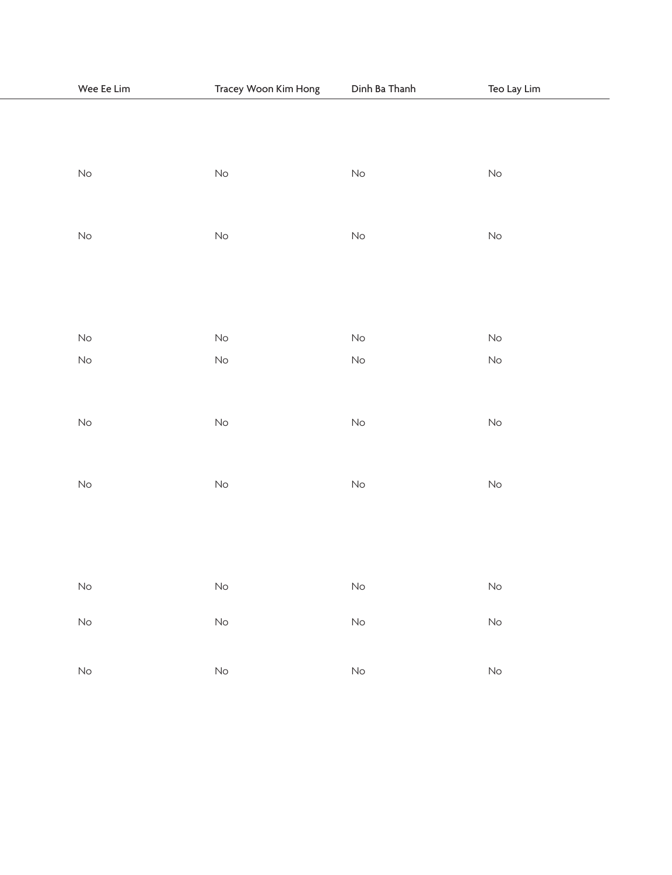| Wee Ee Lim | Tracey Woon Kim Hong | Dinh Ba Thanh | Teo Lay Lim |
|------------|----------------------|---------------|-------------|
|            |                      |               |             |
|            |                      |               |             |
|            |                      |               |             |
| No         | No                   | No            | No          |
|            |                      |               |             |
| No         | No                   | No            | No          |
|            |                      |               |             |
|            |                      |               |             |
|            |                      |               |             |
|            |                      |               |             |
| No         | No                   | No            | No          |
| No         | No                   | No            | No          |
|            |                      |               |             |
|            |                      |               |             |
| No         | No                   | No            | No          |
|            |                      |               |             |
| No         | No                   | No            | No          |
|            |                      |               |             |
|            |                      |               |             |
|            |                      |               |             |
|            |                      |               |             |
| No         | No                   | No            | No          |
| No         | No                   | No            | No          |
|            |                      |               |             |
|            |                      |               |             |
| No         | No                   | No            | No          |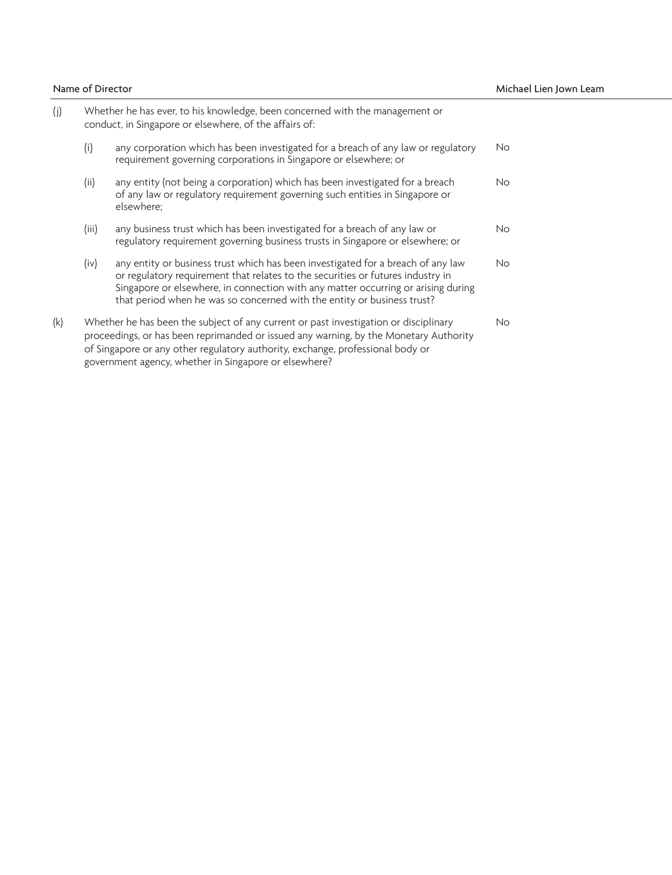|     | Name of Director |                                                                                                                                                                                                                                                                                                                                     | Michael Lien Jown Leam |
|-----|------------------|-------------------------------------------------------------------------------------------------------------------------------------------------------------------------------------------------------------------------------------------------------------------------------------------------------------------------------------|------------------------|
|     |                  | Whether he has ever, to his knowledge, been concerned with the management or<br>conduct, in Singapore or elsewhere, of the affairs of:                                                                                                                                                                                              |                        |
|     |                  | any corporation which has been investigated for a breach of any law or regulatory<br>requirement governing corporations in Singapore or elsewhere; or                                                                                                                                                                               | No.                    |
|     | (ii)             | any entity (not being a corporation) which has been investigated for a breach<br>of any law or regulatory requirement governing such entities in Singapore or<br>elsewhere:                                                                                                                                                         | No                     |
|     | (iii)            | any business trust which has been investigated for a breach of any law or<br>regulatory requirement governing business trusts in Singapore or elsewhere; or                                                                                                                                                                         | <b>No</b>              |
|     | (iv)             | any entity or business trust which has been investigated for a breach of any law<br>or regulatory requirement that relates to the securities or futures industry in<br>Singapore or elsewhere, in connection with any matter occurring or arising during<br>that period when he was so concerned with the entity or business trust? | <b>No</b>              |
| (k) |                  | Whether he has been the subject of any current or past investigation or disciplinary<br>proceedings, or has been reprimanded or issued any warning, by the Monetary Authority<br>of Singapore or any other regulatory authority, exchange, professional body or<br>government agency, whether in Singapore or elsewhere?            | <b>No</b>              |